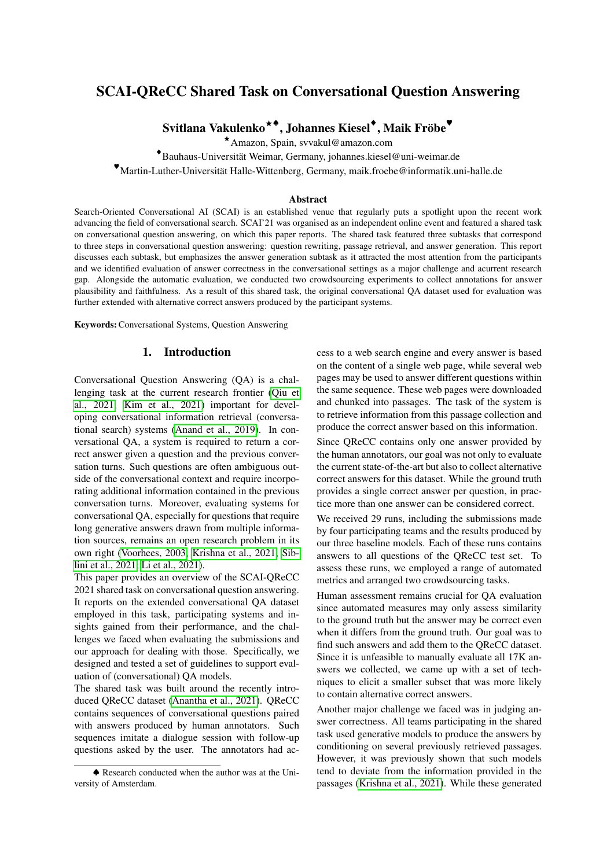# SCAI-QReCC Shared Task on Conversational Question Answering

 $\operatorname{Svitlana Vakulenko}^{\star\blacklozenge}, \operatorname{Johnnes Kiesel}^\blacklozenge}, \operatorname{Maik Friöbe}^\blacklozenge}$ 

⭑Amazon, Spain, svvakul@amazon.com

♦ Bauhaus-Universitat Weimar, Germany, johannes.kiesel@uni-weimar.de ¨

♥Martin-Luther-Universitat Halle-Wittenberg, Germany, maik.froebe@informatik.uni-halle.de ¨

### Abstract

Search-Oriented Conversational AI (SCAI) is an established venue that regularly puts a spotlight upon the recent work advancing the field of conversational search. SCAI'21 was organised as an independent online event and featured a shared task on conversational question answering, on which this paper reports. The shared task featured three subtasks that correspond to three steps in conversational question answering: question rewriting, passage retrieval, and answer generation. This report discusses each subtask, but emphasizes the answer generation subtask as it attracted the most attention from the participants and we identified evaluation of answer correctness in the conversational settings as a major challenge and acurrent research gap. Alongside the automatic evaluation, we conducted two crowdsourcing experiments to collect annotations for answer plausibility and faithfulness. As a result of this shared task, the original conversational QA dataset used for evaluation was further extended with alternative correct answers produced by the participant systems.

Keywords:Conversational Systems, Question Answering

### 1. Introduction

Conversational Question Answering (QA) is a challenging task at the current research frontier [\(Qiu et](#page-8-0) [al., 2021;](#page-8-0) [Kim et al., 2021\)](#page-8-1) important for developing conversational information retrieval (conversational search) systems [\(Anand et al., 2019\)](#page-7-0). In conversational QA, a system is required to return a correct answer given a question and the previous conversation turns. Such questions are often ambiguous outside of the conversational context and require incorporating additional information contained in the previous conversation turns. Moreover, evaluating systems for conversational QA, especially for questions that require long generative answers drawn from multiple information sources, remains an open research problem in its own right [\(Voorhees, 2003;](#page-9-0) [Krishna et al., 2021;](#page-8-2) [Sib](#page-8-3)[lini et al., 2021;](#page-8-3) [Li et al., 2021\)](#page-8-4).

This paper provides an overview of the SCAI-QReCC 2021 shared task on conversational question answering. It reports on the extended conversational QA dataset employed in this task, participating systems and insights gained from their performance, and the challenges we faced when evaluating the submissions and our approach for dealing with those. Specifically, we designed and tested a set of guidelines to support evaluation of (conversational) QA models.

The shared task was built around the recently introduced QReCC dataset [\(Anantha et al., 2021\)](#page-7-1). QReCC contains sequences of conversational questions paired with answers produced by human annotators. Such sequences imitate a dialogue session with follow-up questions asked by the user. The annotators had access to a web search engine and every answer is based on the content of a single web page, while several web pages may be used to answer different questions within the same sequence. These web pages were downloaded and chunked into passages. The task of the system is to retrieve information from this passage collection and produce the correct answer based on this information.

Since QReCC contains only one answer provided by the human annotators, our goal was not only to evaluate the current state-of-the-art but also to collect alternative correct answers for this dataset. While the ground truth provides a single correct answer per question, in practice more than one answer can be considered correct.

We received 29 runs, including the submissions made by four participating teams and the results produced by our three baseline models. Each of these runs contains answers to all questions of the QReCC test set. To assess these runs, we employed a range of automated metrics and arranged two crowdsourcing tasks.

Human assessment remains crucial for QA evaluation since automated measures may only assess similarity to the ground truth but the answer may be correct even when it differs from the ground truth. Our goal was to find such answers and add them to the QReCC dataset. Since it is unfeasible to manually evaluate all 17K answers we collected, we came up with a set of techniques to elicit a smaller subset that was more likely to contain alternative correct answers.

Another major challenge we faced was in judging answer correctness. All teams participating in the shared task used generative models to produce the answers by conditioning on several previously retrieved passages. However, it was previously shown that such models tend to deviate from the information provided in the passages [\(Krishna et al., 2021\)](#page-8-2). While these generated

<sup>♠</sup> Research conducted when the author was at the University of Amsterdam.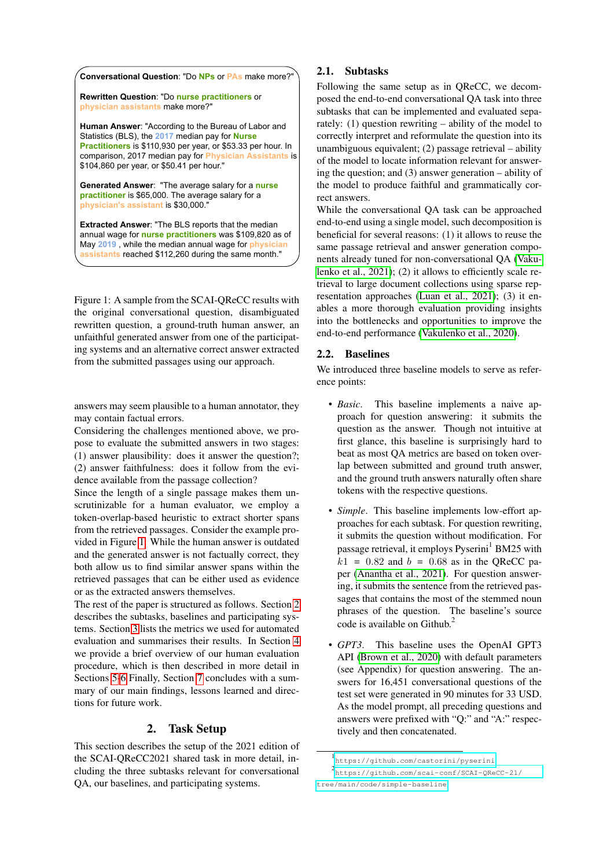|  | <b>Conversational Question: "Do NPs or PA</b> |  | make more?" |
|--|-----------------------------------------------|--|-------------|
|--|-----------------------------------------------|--|-------------|

**Rewritten Question**: "Do **nurse practitioners** or **physician assistants** make more?"

**Human Answer**: "According to the Bureau of Labor and Statistics (BLS), the **2017** median pay for **Nurse Practitioners** is \$110,930 per year, or \$53.33 per hour. In comparison, 2017 median pay for **Physician Assistants** is \$104,860 per year, or \$50.41 per hour."

**Generated Answer**: "The average salary for a **nurse practitioner** is \$65,000. The average salary for a **physician's assistant** is \$30,000."

**Extracted Answer**: "The BLS reports that the median annual wage for **nurse practitioners** was \$109,820 as of May **2019** , while the median annual wage for **physician assistants** reached \$112,260 during the same month."

<span id="page-1-0"></span>Figure 1: A sample from the SCAI-QReCC results with the original conversational question, disambiguated rewritten question, a ground-truth human answer, an unfaithful generated answer from one of the participating systems and an alternative correct answer extracted from the submitted passages using our approach.

answers may seem plausible to a human annotator, they may contain factual errors.

Considering the challenges mentioned above, we propose to evaluate the submitted answers in two stages: (1) answer plausibility: does it answer the question?; (2) answer faithfulness: does it follow from the evidence available from the passage collection?

Since the length of a single passage makes them unscrutinizable for a human evaluator, we employ a token-overlap-based heuristic to extract shorter spans from the retrieved passages. Consider the example provided in Figure [1.](#page-1-0) While the human answer is outdated and the generated answer is not factually correct, they both allow us to find similar answer spans within the retrieved passages that can be either used as evidence or as the extracted answers themselves.

The rest of the paper is structured as follows. Section [2](#page-1-1) describes the subtasks, baselines and participating systems. Section [3](#page-2-0) lists the metrics we used for automated evaluation and summarises their results. In Section [4](#page-4-0) we provide a brief overview of our human evaluation procedure, which is then described in more detail in Sections [5-](#page-5-0)[6](#page-5-1) Finally, Section [7](#page-6-0) concludes with a summary of our main findings, lessons learned and directions for future work.

# 2. Task Setup

<span id="page-1-1"></span>This section describes the setup of the 2021 edition of the SCAI-QReCC2021 shared task in more detail, including the three subtasks relevant for conversational QA, our baselines, and participating systems.

### 2.1. Subtasks

Following the same setup as in QReCC, we decomposed the end-to-end conversational QA task into three subtasks that can be implemented and evaluated separately: (1) question rewriting – ability of the model to correctly interpret and reformulate the question into its unambiguous equivalent; (2) passage retrieval – ability of the model to locate information relevant for answering the question; and (3) answer generation – ability of the model to produce faithful and grammatically correct answers.

While the conversational QA task can be approached end-to-end using a single model, such decomposition is beneficial for several reasons: (1) it allows to reuse the same passage retrieval and answer generation components already tuned for non-conversational QA [\(Vaku](#page-9-1)[lenko et al., 2021\)](#page-9-1); (2) it allows to efficiently scale retrieval to large document collections using sparse representation approaches [\(Luan et al., 2021\)](#page-8-5); (3) it enables a more thorough evaluation providing insights into the bottlenecks and opportunities to improve the end-to-end performance [\(Vakulenko et al., 2020\)](#page-9-2).

### <span id="page-1-2"></span>2.2. Baselines

We introduced three baseline models to serve as reference points:

- *Basic*. This baseline implements a naive approach for question answering: it submits the question as the answer. Though not intuitive at first glance, this baseline is surprisingly hard to beat as most QA metrics are based on token overlap between submitted and ground truth answer, and the ground truth answers naturally often share tokens with the respective questions.
- *Simple*. This baseline implements low-effort approaches for each subtask. For question rewriting, it submits the question without modification. For passage retrieval, it employs Pyserini<sup>1</sup> BM25 with  $k1 = 0.82$  and  $b = 0.68$  as in the OReCC paper [\(Anantha et al., 2021\)](#page-7-1). For question answering, it submits the sentence from the retrieved passages that contains the most of the stemmed noun phrases of the question. The baseline's source code is available on Github.<sup>2</sup>
- *GPT3*. This baseline uses the OpenAI GPT3 API [\(Brown et al., 2020\)](#page-7-2) with default parameters (see Appendix) for question answering. The answers for 16,451 conversational questions of the test set were generated in 90 minutes for 33 USD. As the model prompt, all preceding questions and answers were prefixed with "Q:" and "A:" respectively and then concatenated.

<sup>1</sup> <https://github.com/castorini/pyserini> 2 [https://github.com/scai-conf/SCAI-QReCC-21/](https://github.com/scai-conf/SCAI-QReCC-21/tree/main/code/simple-baseline) [tree/main/code/simple-baseline](https://github.com/scai-conf/SCAI-QReCC-21/tree/main/code/simple-baseline)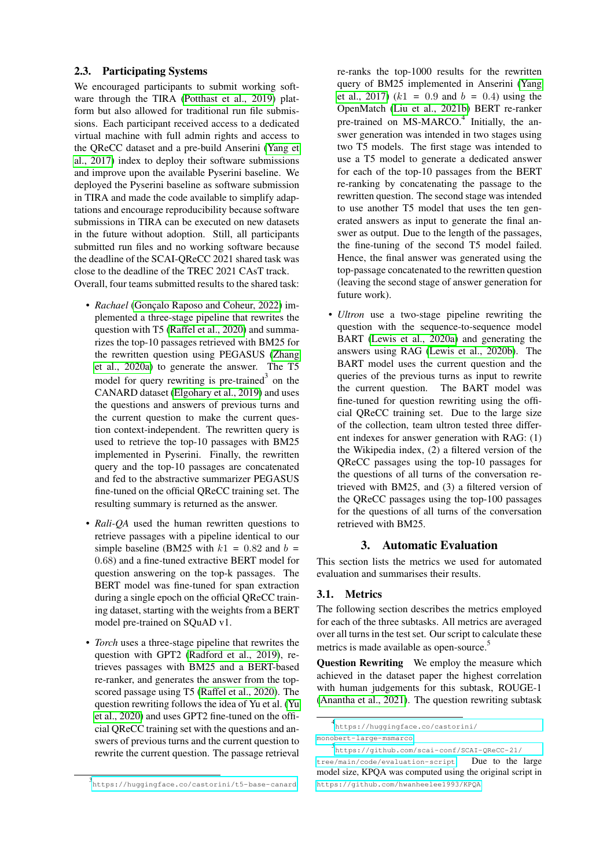### <span id="page-2-1"></span>2.3. Participating Systems

We encouraged participants to submit working soft-ware through the TIRA [\(Potthast et al., 2019\)](#page-8-6) platform but also allowed for traditional run file submissions. Each participant received access to a dedicated virtual machine with full admin rights and access to the QReCC dataset and a pre-build Anserini [\(Yang et](#page-9-3) [al., 2017\)](#page-9-3) index to deploy their software submissions and improve upon the available Pyserini baseline. We deployed the Pyserini baseline as software submission in TIRA and made the code available to simplify adaptations and encourage reproducibility because software submissions in TIRA can be executed on new datasets in the future without adoption. Still, all participants submitted run files and no working software because the deadline of the SCAI-QReCC 2021 shared task was close to the deadline of the TREC 2021 CAsT track. Overall, four teams submitted results to the shared task:

- *Rachael* (Gonçalo Raposo and Coheur, 2022) implemented a three-stage pipeline that rewrites the question with T5 [\(Raffel et al., 2020\)](#page-8-8) and summarizes the top-10 passages retrieved with BM25 for the rewritten question using PEGASUS [\(Zhang](#page-9-4) [et al., 2020a\)](#page-9-4) to generate the answer. The T5 model for query rewriting is pre-trained<sup>3</sup> on the CANARD dataset [\(Elgohary et al., 2019\)](#page-7-3) and uses the questions and answers of previous turns and the current question to make the current question context-independent. The rewritten query is used to retrieve the top-10 passages with BM25 implemented in Pyserini. Finally, the rewritten query and the top-10 passages are concatenated and fed to the abstractive summarizer PEGASUS fine-tuned on the official QReCC training set. The resulting summary is returned as the answer.
- *Rali-QA* used the human rewritten questions to retrieve passages with a pipeline identical to our simple baseline (BM25 with  $k1 = 0.82$  and  $b =$ 0.68) and a fine-tuned extractive BERT model for question answering on the top-k passages. The BERT model was fine-tuned for span extraction during a single epoch on the official QReCC training dataset, starting with the weights from a BERT model pre-trained on SQuAD v1.
- *Torch* uses a three-stage pipeline that rewrites the question with GPT2 [\(Radford et al., 2019\)](#page-8-9), retrieves passages with BM25 and a BERT-based re-ranker, and generates the answer from the topscored passage using T5 [\(Raffel et al., 2020\)](#page-8-8). The question rewriting follows the idea of Yu et al. [\(Yu](#page-9-5) [et al., 2020\)](#page-9-5) and uses GPT2 fine-tuned on the official QReCC training set with the questions and answers of previous turns and the current question to rewrite the current question. The passage retrieval

re-ranks the top-1000 results for the rewritten query of BM25 implemented in Anserini [\(Yang](#page-9-3) [et al., 2017\)](#page-9-3)  $(k1 = 0.9$  and  $b = 0.4)$  using the OpenMatch [\(Liu et al., 2021b\)](#page-8-10) BERT re-ranker pre-trained on MS-MARCO.<sup>4</sup> Initially, the answer generation was intended in two stages using two T5 models. The first stage was intended to use a T5 model to generate a dedicated answer for each of the top-10 passages from the BERT re-ranking by concatenating the passage to the rewritten question. The second stage was intended to use another T5 model that uses the ten generated answers as input to generate the final answer as output. Due to the length of the passages, the fine-tuning of the second T5 model failed. Hence, the final answer was generated using the top-passage concatenated to the rewritten question (leaving the second stage of answer generation for future work).

• *Ultron* use a two-stage pipeline rewriting the question with the sequence-to-sequence model BART [\(Lewis et al., 2020a\)](#page-8-11) and generating the answers using RAG [\(Lewis et al., 2020b\)](#page-8-12). The BART model uses the current question and the queries of the previous turns as input to rewrite the current question. The BART model was fine-tuned for question rewriting using the official QReCC training set. Due to the large size of the collection, team ultron tested three different indexes for answer generation with RAG: (1) the Wikipedia index, (2) a filtered version of the QReCC passages using the top-10 passages for the questions of all turns of the conversation retrieved with BM25, and (3) a filtered version of the QReCC passages using the top-100 passages for the questions of all turns of the conversation retrieved with BM25.

### 3. Automatic Evaluation

<span id="page-2-0"></span>This section lists the metrics we used for automated evaluation and summarises their results.

### <span id="page-2-2"></span>3.1. Metrics

The following section describes the metrics employed for each of the three subtasks. All metrics are averaged over all turns in the test set. Our script to calculate these metrics is made available as open-source.<sup>5</sup>

**Question Rewriting** We employ the measure which achieved in the dataset paper the highest correlation with human judgements for this subtask, ROUGE-1 [\(Anantha et al., 2021\)](#page-7-1). The question rewriting subtask

<sup>3</sup> <https://huggingface.co/castorini/t5-base-canard>

<sup>4</sup> [https://huggingface.co/castorini/](https://huggingface.co/castorini/monobert-large-msmarco) [monobert-large-msmarco](https://huggingface.co/castorini/monobert-large-msmarco)

<sup>5</sup> [https://github.com/scai-conf/SCAI-QReCC-21/](https://github.com/scai-conf/SCAI-QReCC-21/tree/main/code/evaluation-script)

[tree/main/code/evaluation-script](https://github.com/scai-conf/SCAI-QReCC-21/tree/main/code/evaluation-script). Due to the large model size, KPQA was computed using the original script in <https://github.com/hwanheelee1993/KPQA>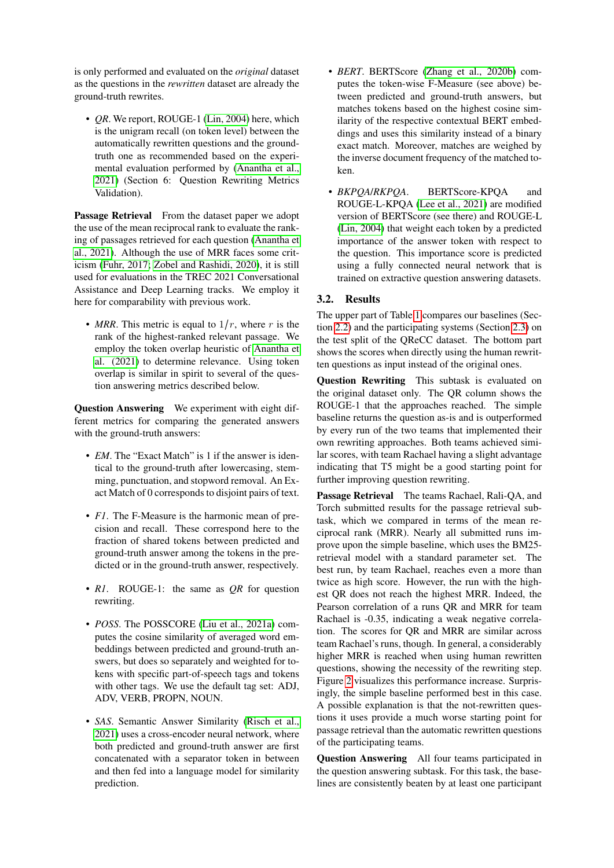is only performed and evaluated on the *original* dataset as the questions in the *rewritten* dataset are already the ground-truth rewrites.

• *QR*. We report, ROUGE-1 [\(Lin, 2004\)](#page-8-13) here, which is the unigram recall (on token level) between the automatically rewritten questions and the groundtruth one as recommended based on the experimental evaluation performed by [\(Anantha et al.,](#page-7-1) [2021\)](#page-7-1) (Section 6: Question Rewriting Metrics Validation).

Passage Retrieval From the dataset paper we adopt the use of the mean reciprocal rank to evaluate the ranking of passages retrieved for each question [\(Anantha et](#page-7-1) [al., 2021\)](#page-7-1). Although the use of MRR faces some criticism [\(Fuhr, 2017;](#page-8-14) [Zobel and Rashidi, 2020\)](#page-9-6), it is still used for evaluations in the TREC 2021 Conversational Assistance and Deep Learning tracks. We employ it here for comparability with previous work.

• *MRR*. This metric is equal to  $1/r$ , where r is the rank of the highest-ranked relevant passage. We employ the token overlap heuristic of [Anantha et](#page-7-1) [al. \(2021\)](#page-7-1) to determine relevance. Using token overlap is similar in spirit to several of the question answering metrics described below.

Question Answering We experiment with eight different metrics for comparing the generated answers with the ground-truth answers:

- *EM*. The "Exact Match" is 1 if the answer is identical to the ground-truth after lowercasing, stemming, punctuation, and stopword removal. An Exact Match of 0 corresponds to disjoint pairs of text.
- *F1*. The F-Measure is the harmonic mean of precision and recall. These correspond here to the fraction of shared tokens between predicted and ground-truth answer among the tokens in the predicted or in the ground-truth answer, respectively.
- *R1*. ROUGE-1: the same as *QR* for question rewriting.
- *POSS*. The POSSCORE [\(Liu et al., 2021a\)](#page-8-15) computes the cosine similarity of averaged word embeddings between predicted and ground-truth answers, but does so separately and weighted for tokens with specific part-of-speech tags and tokens with other tags. We use the default tag set: ADJ, ADV, VERB, PROPN, NOUN.
- *SAS*. Semantic Answer Similarity [\(Risch et al.,](#page-8-16) [2021\)](#page-8-16) uses a cross-encoder neural network, where both predicted and ground-truth answer are first concatenated with a separator token in between and then fed into a language model for similarity prediction.
- *BERT*. BERTScore [\(Zhang et al., 2020b\)](#page-9-7) computes the token-wise F-Measure (see above) between predicted and ground-truth answers, but matches tokens based on the highest cosine similarity of the respective contextual BERT embeddings and uses this similarity instead of a binary exact match. Moreover, matches are weighed by the inverse document frequency of the matched token.
- *BKPQA*/*RKPQA*. BERTScore-KPQA and ROUGE-L-KPQA [\(Lee et al., 2021\)](#page-8-17) are modified version of BERTScore (see there) and ROUGE-L [\(Lin, 2004\)](#page-8-13) that weight each token by a predicted importance of the answer token with respect to the question. This importance score is predicted using a fully connected neural network that is trained on extractive question answering datasets.

## 3.2. Results

The upper part of Table [1](#page-4-1) compares our baselines (Section [2.2\)](#page-1-2) and the participating systems (Section [2.3\)](#page-2-1) on the test split of the QReCC dataset. The bottom part shows the scores when directly using the human rewritten questions as input instead of the original ones.

Question Rewriting This subtask is evaluated on the original dataset only. The QR column shows the ROUGE-1 that the approaches reached. The simple baseline returns the question as-is and is outperformed by every run of the two teams that implemented their own rewriting approaches. Both teams achieved similar scores, with team Rachael having a slight advantage indicating that T5 might be a good starting point for further improving question rewriting.

Passage Retrieval The teams Rachael, Rali-QA, and Torch submitted results for the passage retrieval subtask, which we compared in terms of the mean reciprocal rank (MRR). Nearly all submitted runs improve upon the simple baseline, which uses the BM25 retrieval model with a standard parameter set. The best run, by team Rachael, reaches even a more than twice as high score. However, the run with the highest QR does not reach the highest MRR. Indeed, the Pearson correlation of a runs QR and MRR for team Rachael is -0.35, indicating a weak negative correlation. The scores for QR and MRR are similar across team Rachael's runs, though. In general, a considerably higher MRR is reached when using human rewritten questions, showing the necessity of the rewriting step. Figure [2](#page-4-2) visualizes this performance increase. Surprisingly, the simple baseline performed best in this case. A possible explanation is that the not-rewritten questions it uses provide a much worse starting point for passage retrieval than the automatic rewritten questions of the participating teams.

Question Answering All four teams participated in the question answering subtask. For this task, the baselines are consistently beaten by at least one participant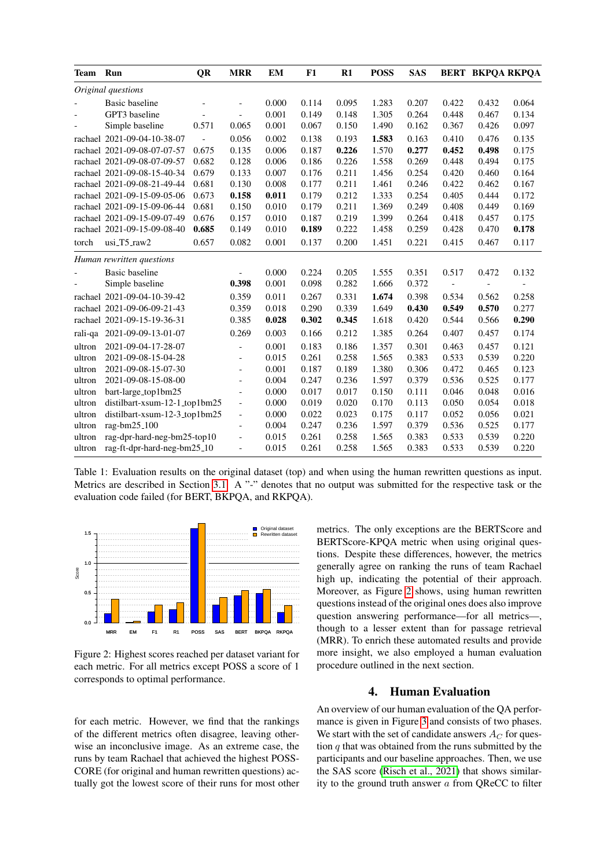| Team   | Run                           | QR    | <b>MRR</b>               | EM    | F1    | $R1$  | <b>POSS</b> | <b>SAS</b> |                          | <b>BERT BKPOA RKPOA</b>  |       |
|--------|-------------------------------|-------|--------------------------|-------|-------|-------|-------------|------------|--------------------------|--------------------------|-------|
|        | Original questions            |       |                          |       |       |       |             |            |                          |                          |       |
|        | Basic baseline                |       | $\overline{\phantom{a}}$ | 0.000 | 0.114 | 0.095 | 1.283       | 0.207      | 0.422                    | 0.432                    | 0.064 |
|        | GPT3 baseline                 |       | $\overline{\phantom{a}}$ | 0.001 | 0.149 | 0.148 | 1.305       | 0.264      | 0.448                    | 0.467                    | 0.134 |
|        | Simple baseline               | 0.571 | 0.065                    | 0.001 | 0.067 | 0.150 | 1.490       | 0.162      | 0.367                    | 0.426                    | 0.097 |
|        | rachael 2021-09-04-10-38-07   |       | 0.056                    | 0.002 | 0.138 | 0.193 | 1.583       | 0.163      | 0.410                    | 0.476                    | 0.135 |
|        | rachael 2021-09-08-07-07-57   | 0.675 | 0.135                    | 0.006 | 0.187 | 0.226 | 1.570       | 0.277      | 0.452                    | 0.498                    | 0.175 |
|        | rachael 2021-09-08-07-09-57   | 0.682 | 0.128                    | 0.006 | 0.186 | 0.226 | 1.558       | 0.269      | 0.448                    | 0.494                    | 0.175 |
|        | rachael 2021-09-08-15-40-34   | 0.679 | 0.133                    | 0.007 | 0.176 | 0.211 | 1.456       | 0.254      | 0.420                    | 0.460                    | 0.164 |
|        | rachael 2021-09-08-21-49-44   | 0.681 | 0.130                    | 0.008 | 0.177 | 0.211 | 1.461       | 0.246      | 0.422                    | 0.462                    | 0.167 |
|        | rachael 2021-09-15-09-05-06   | 0.673 | 0.158                    | 0.011 | 0.179 | 0.212 | 1.333       | 0.254      | 0.405                    | 0.444                    | 0.172 |
|        | rachael 2021-09-15-09-06-44   | 0.681 | 0.150                    | 0.010 | 0.179 | 0.211 | 1.369       | 0.249      | 0.408                    | 0.449                    | 0.169 |
|        | rachael 2021-09-15-09-07-49   | 0.676 | 0.157                    | 0.010 | 0.187 | 0.219 | 1.399       | 0.264      | 0.418                    | 0.457                    | 0.175 |
|        | rachael 2021-09-15-09-08-40   | 0.685 | 0.149                    | 0.010 | 0.189 | 0.222 | 1.458       | 0.259      | 0.428                    | 0.470                    | 0.178 |
| torch  | $usi_T5_Taw2$                 | 0.657 | 0.082                    | 0.001 | 0.137 | 0.200 | 1.451       | 0.221      | 0.415                    | 0.467                    | 0.117 |
|        | Human rewritten questions     |       |                          |       |       |       |             |            |                          |                          |       |
|        | <b>Basic baseline</b>         |       | $\overline{\phantom{a}}$ | 0.000 | 0.224 | 0.205 | 1.555       | 0.351      | 0.517                    | 0.472                    | 0.132 |
|        | Simple baseline               |       | 0.398                    | 0.001 | 0.098 | 0.282 | 1.666       | 0.372      | $\overline{\phantom{a}}$ | $\overline{\phantom{a}}$ |       |
|        | rachael 2021-09-04-10-39-42   |       | 0.359                    | 0.011 | 0.267 | 0.331 | 1.674       | 0.398      | 0.534                    | 0.562                    | 0.258 |
|        | rachael 2021-09-06-09-21-43   |       | 0.359                    | 0.018 | 0.290 | 0.339 | 1.649       | 0.430      | 0.549                    | 0.570                    | 0.277 |
|        | rachael 2021-09-15-19-36-31   |       | 0.385                    | 0.028 | 0.302 | 0.345 | 1.618       | 0.420      | 0.544                    | 0.566                    | 0.290 |
|        | rali-qa 2021-09-09-13-01-07   |       | 0.269                    | 0.003 | 0.166 | 0.212 | 1.385       | 0.264      | 0.407                    | 0.457                    | 0.174 |
| ultron | 2021-09-04-17-28-07           |       | $\sim$                   | 0.001 | 0.183 | 0.186 | 1.357       | 0.301      | 0.463                    | 0.457                    | 0.121 |
| ultron | 2021-09-08-15-04-28           |       | $\blacksquare$           | 0.015 | 0.261 | 0.258 | 1.565       | 0.383      | 0.533                    | 0.539                    | 0.220 |
| ultron | 2021-09-08-15-07-30           |       | $\overline{\phantom{a}}$ | 0.001 | 0.187 | 0.189 | 1.380       | 0.306      | 0.472                    | 0.465                    | 0.123 |
| ultron | 2021-09-08-15-08-00           |       | $\overline{\phantom{a}}$ | 0.004 | 0.247 | 0.236 | 1.597       | 0.379      | 0.536                    | 0.525                    | 0.177 |
| ultron | bart-large_top1bm25           |       | $\overline{\phantom{a}}$ | 0.000 | 0.017 | 0.017 | 0.150       | 0.111      | 0.046                    | 0.048                    | 0.016 |
| ultron | distilbart-xsum-12-1_top1bm25 |       | $\overline{\phantom{a}}$ | 0.000 | 0.019 | 0.020 | 0.170       | 0.113      | 0.050                    | 0.054                    | 0.018 |
| ultron | distilbart-xsum-12-3_top1bm25 |       | $\overline{\phantom{a}}$ | 0.000 | 0.022 | 0.023 | 0.175       | 0.117      | 0.052                    | 0.056                    | 0.021 |
| ultron | rag-bm25 <sub>-100</sub>      |       | $\overline{\phantom{a}}$ | 0.004 | 0.247 | 0.236 | 1.597       | 0.379      | 0.536                    | 0.525                    | 0.177 |
| ultron | rag-dpr-hard-neg-bm25-top10   |       | $\overline{\phantom{a}}$ | 0.015 | 0.261 | 0.258 | 1.565       | 0.383      | 0.533                    | 0.539                    | 0.220 |
| ultron | rag-ft-dpr-hard-neg-bm25_10   |       | $\overline{\phantom{0}}$ | 0.015 | 0.261 | 0.258 | 1.565       | 0.383      | 0.533                    | 0.539                    | 0.220 |

<span id="page-4-1"></span>Table 1: Evaluation results on the original dataset (top) and when using the human rewritten questions as input. Metrics are described in Section [3.1.](#page-2-2) A "-" denotes that no output was submitted for the respective task or the evaluation code failed (for BERT, BKPQA, and RKPQA).



<span id="page-4-2"></span>Figure 2: Highest scores reached per dataset variant for each metric. For all metrics except POSS a score of 1 corresponds to optimal performance.

for each metric. However, we find that the rankings of the different metrics often disagree, leaving otherwise an inconclusive image. As an extreme case, the runs by team Rachael that achieved the highest POSS-CORE (for original and human rewritten questions) actually got the lowest score of their runs for most other metrics. The only exceptions are the BERTScore and BERTScore-KPQA metric when using original questions. Despite these differences, however, the metrics generally agree on ranking the runs of team Rachael high up, indicating the potential of their approach. Moreover, as Figure [2](#page-4-2) shows, using human rewritten questions instead of the original ones does also improve question answering performance—for all metrics—, though to a lesser extent than for passage retrieval (MRR). To enrich these automated results and provide more insight, we also employed a human evaluation procedure outlined in the next section.

### 4. Human Evaluation

<span id="page-4-0"></span>An overview of our human evaluation of the QA performance is given in Figure [3](#page-5-2) and consists of two phases. We start with the set of candidate answers  $A_C$  for question  $q$  that was obtained from the runs submitted by the participants and our baseline approaches. Then, we use the SAS score [\(Risch et al., 2021\)](#page-8-16) that shows similarity to the ground truth answer  $a$  from QReCC to filter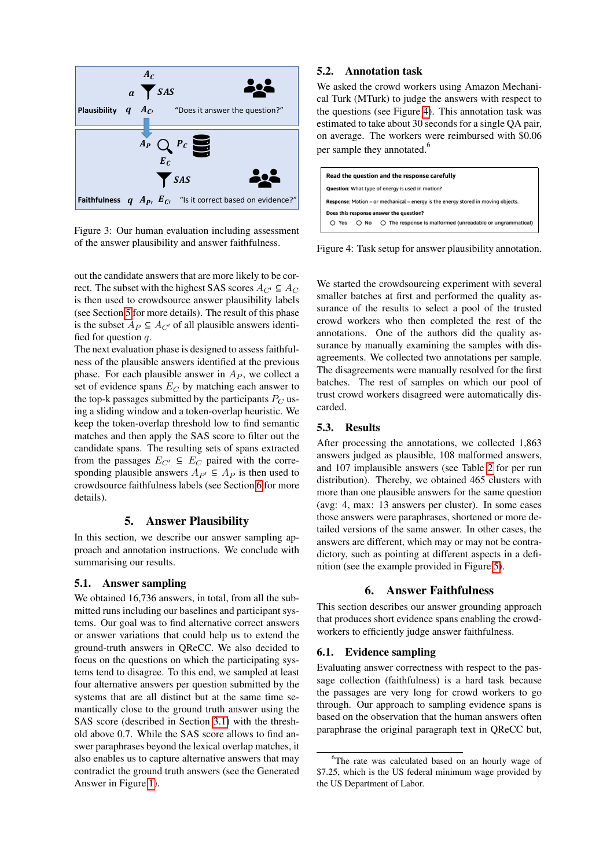

<span id="page-5-2"></span>Figure 3: Our human evaluation including assessment of the answer plausibility and answer faithfulness.

out the candidate answers that are more likely to be correct. The subset with the highest SAS scores  $A_{C'} \subseteq A_C$ is then used to crowdsource answer plausibility labels (see Section [5](#page-5-0) for more details). The result of this phase is the subset  $A_P \subseteq A_{C'}$  of all plausible answers identified for question  $q$ .

The next evaluation phase is designed to assess faithfulness of the plausible answers identified at the previous phase. For each plausible answer in  $A<sub>P</sub>$ , we collect a set of evidence spans  $E_C$  by matching each answer to the top-k passages submitted by the participants  $P_C$  using a sliding window and a token-overlap heuristic. We keep the token-overlap threshold low to find semantic matches and then apply the SAS score to filter out the candidate spans. The resulting sets of spans extracted from the passages  $E_{C'} \subseteq E_C$  paired with the corresponding plausible answers  $A_{P'} \subseteq A_P$  is then used to crowdsource faithfulness labels (see Section [6](#page-5-1) for more details).

### 5. Answer Plausibility

<span id="page-5-0"></span>In this section, we describe our answer sampling approach and annotation instructions. We conclude with summarising our results.

#### 5.1. Answer sampling

We obtained 16,736 answers, in total, from all the submitted runs including our baselines and participant systems. Our goal was to find alternative correct answers or answer variations that could help us to extend the ground-truth answers in QReCC. We also decided to focus on the questions on which the participating systems tend to disagree. To this end, we sampled at least four alternative answers per question submitted by the systems that are all distinct but at the same time semantically close to the ground truth answer using the SAS score (described in Section [3.1\)](#page-2-2) with the threshold above 0.7. While the SAS score allows to find answer paraphrases beyond the lexical overlap matches, it also enables us to capture alternative answers that may contradict the ground truth answers (see the Generated Answer in Figure [1\)](#page-1-0).

### 5.2. Annotation task

We asked the crowd workers using Amazon Mechanical Turk (MTurk) to judge the answers with respect to the questions (see Figure [4\)](#page-5-3). This annotation task was estimated to take about 30 seconds for a single QA pair, on average. The workers were reimbursed with \$0.06 per sample they annotated.<sup>6</sup>



<span id="page-5-3"></span>Figure 4: Task setup for answer plausibility annotation.

We started the crowdsourcing experiment with several smaller batches at first and performed the quality assurance of the results to select a pool of the trusted crowd workers who then completed the rest of the annotations. One of the authors did the quality assurance by manually examining the samples with disagreements. We collected two annotations per sample. The disagreements were manually resolved for the first batches. The rest of samples on which our pool of trust crowd workers disagreed were automatically discarded.

#### 5.3. Results

After processing the annotations, we collected 1,863 answers judged as plausible, 108 malformed answers, and 107 implausible answers (see Table [2](#page-7-4) for per run distribution). Thereby, we obtained 465 clusters with more than one plausible answers for the same question (avg: 4, max: 13 answers per cluster). In some cases those answers were paraphrases, shortened or more detailed versions of the same answer. In other cases, the answers are different, which may or may not be contradictory, such as pointing at different aspects in a definition (see the example provided in Figure [5\)](#page-6-1).

### 6. Answer Faithfulness

<span id="page-5-1"></span>This section describes our answer grounding approach that produces short evidence spans enabling the crowdworkers to efficiently judge answer faithfulness.

#### 6.1. Evidence sampling

Evaluating answer correctness with respect to the passage collection (faithfulness) is a hard task because the passages are very long for crowd workers to go through. Our approach to sampling evidence spans is based on the observation that the human answers often paraphrase the original paragraph text in QReCC but,

<sup>&</sup>lt;sup>6</sup>The rate was calculated based on an hourly wage of \$7.25, which is the US federal minimum wage provided by the US Department of Labor.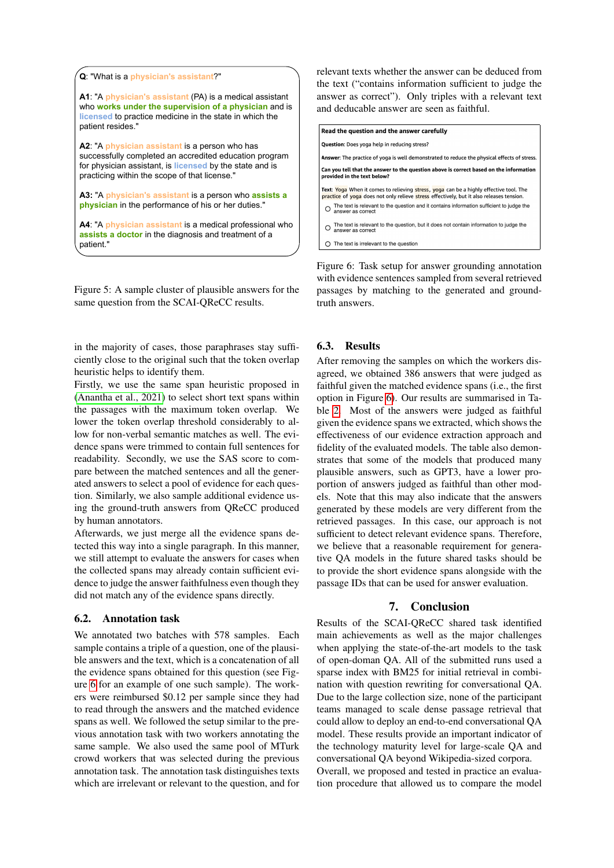

<span id="page-6-1"></span>Figure 5: A sample cluster of plausible answers for the same question from the SCAI-QReCC results.

in the majority of cases, those paraphrases stay sufficiently close to the original such that the token overlap heuristic helps to identify them.

Firstly, we use the same span heuristic proposed in [\(Anantha et al., 2021\)](#page-7-1) to select short text spans within the passages with the maximum token overlap. We lower the token overlap threshold considerably to allow for non-verbal semantic matches as well. The evidence spans were trimmed to contain full sentences for readability. Secondly, we use the SAS score to compare between the matched sentences and all the generated answers to select a pool of evidence for each question. Similarly, we also sample additional evidence using the ground-truth answers from QReCC produced by human annotators.

Afterwards, we just merge all the evidence spans detected this way into a single paragraph. In this manner, we still attempt to evaluate the answers for cases when the collected spans may already contain sufficient evidence to judge the answer faithfulness even though they did not match any of the evidence spans directly.

#### 6.2. Annotation task

We annotated two batches with 578 samples. Each sample contains a triple of a question, one of the plausible answers and the text, which is a concatenation of all the evidence spans obtained for this question (see Figure [6](#page-6-2) for an example of one such sample). The workers were reimbursed \$0.12 per sample since they had to read through the answers and the matched evidence spans as well. We followed the setup similar to the previous annotation task with two workers annotating the same sample. We also used the same pool of MTurk crowd workers that was selected during the previous annotation task. The annotation task distinguishes texts which are irrelevant or relevant to the question, and for relevant texts whether the answer can be deduced from the text ("contains information sufficient to judge the answer as correct"). Only triples with a relevant text and deducable answer are seen as faithful.

| Read the question and the answer carefully                                                                                                                                         |  |  |  |  |  |
|------------------------------------------------------------------------------------------------------------------------------------------------------------------------------------|--|--|--|--|--|
| Question: Does yoga help in reducing stress?                                                                                                                                       |  |  |  |  |  |
| Answer: The practice of yoga is well demonstrated to reduce the physical effects of stress.                                                                                        |  |  |  |  |  |
| Can you tell that the answer to the question above is correct based on the information<br>provided in the text below?                                                              |  |  |  |  |  |
| Text: Yoga When it comes to relieving stress, yoga can be a highly effective tool. The<br>practice of yoga does not only relieve stress effectively, but it also releases tension. |  |  |  |  |  |
| The text is relevant to the question and it contains information sufficient to judge the<br>answer as correct                                                                      |  |  |  |  |  |
| The text is relevant to the question, but it does not contain information to judge the<br>answer as correct                                                                        |  |  |  |  |  |
| The text is irrelevant to the question                                                                                                                                             |  |  |  |  |  |

<span id="page-6-2"></span>Figure 6: Task setup for answer grounding annotation with evidence sentences sampled from several retrieved passages by matching to the generated and groundtruth answers.

### 6.3. Results

After removing the samples on which the workers disagreed, we obtained 386 answers that were judged as faithful given the matched evidence spans (i.e., the first option in Figure [6\)](#page-6-2). Our results are summarised in Table [2.](#page-7-4) Most of the answers were judged as faithful given the evidence spans we extracted, which shows the effectiveness of our evidence extraction approach and fidelity of the evaluated models. The table also demonstrates that some of the models that produced many plausible answers, such as GPT3, have a lower proportion of answers judged as faithful than other models. Note that this may also indicate that the answers generated by these models are very different from the retrieved passages. In this case, our approach is not sufficient to detect relevant evidence spans. Therefore, we believe that a reasonable requirement for generative QA models in the future shared tasks should be to provide the short evidence spans alongside with the passage IDs that can be used for answer evaluation.

### 7. Conclusion

<span id="page-6-0"></span>Results of the SCAI-QReCC shared task identified main achievements as well as the major challenges when applying the state-of-the-art models to the task of open-doman QA. All of the submitted runs used a sparse index with BM25 for initial retrieval in combination with question rewriting for conversational QA. Due to the large collection size, none of the participant teams managed to scale dense passage retrieval that could allow to deploy an end-to-end conversational QA model. These results provide an important indicator of the technology maturity level for large-scale QA and conversational QA beyond Wikipedia-sized corpora. Overall, we proposed and tested in practice an evaluation procedure that allowed us to compare the model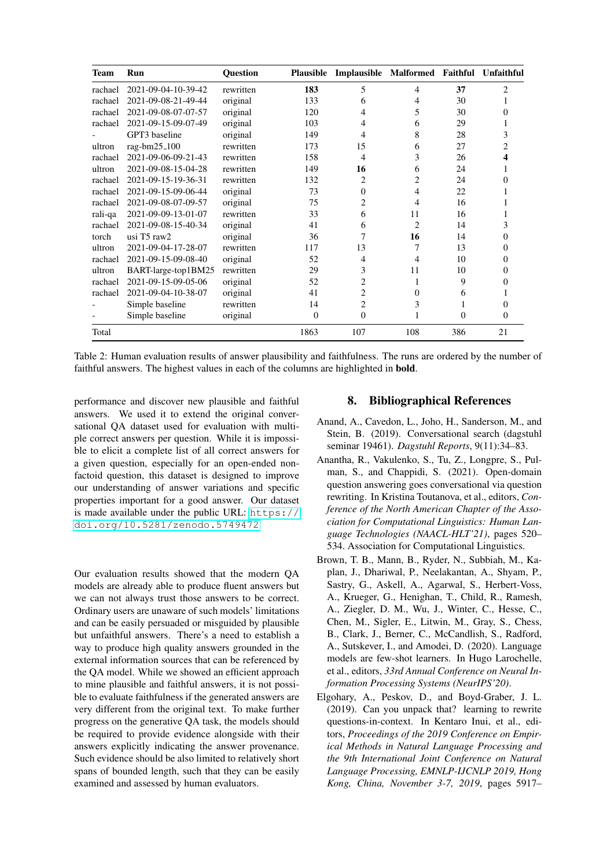| <b>Team</b> | Run                 | <b>Ouestion</b> | <b>Plausible</b> | Implausible Malformed Faithful Unfaithful |                |                |                |
|-------------|---------------------|-----------------|------------------|-------------------------------------------|----------------|----------------|----------------|
| rachael     | 2021-09-04-10-39-42 | rewritten       | 183              | 5                                         | 4              | 37             | $\overline{c}$ |
| rachael     | 2021-09-08-21-49-44 | original        | 133              | 6                                         | 4              | 30             |                |
| rachael     | 2021-09-08-07-07-57 | original        | 120              | 4                                         | 5              | 30             | $\Omega$       |
| rachael     | 2021-09-15-09-07-49 | original        | 103              | 4                                         | 6              | 29             |                |
|             | GPT3 baseline       | original        | 149              | 4                                         | 8              | 28             | 3              |
| ultron      | rag-bm $25\_100$    | rewritten       | 173              | 15                                        | 6              | 27             | 2              |
| rachael     | 2021-09-06-09-21-43 | rewritten       | 158              | 4                                         | 3              | 26             | 4              |
| ultron      | 2021-09-08-15-04-28 | rewritten       | 149              | 16                                        | 6              | 24             |                |
| rachael     | 2021-09-15-19-36-31 | rewritten       | 132              | 2                                         | $\overline{c}$ | 24             | 0              |
| rachael     | 2021-09-15-09-06-44 | original        | 73               | $\Omega$                                  | 4              | 22             |                |
| rachael     | 2021-09-08-07-09-57 | original        | 75               | 2                                         | 4              | 16             |                |
| rali-qa     | 2021-09-09-13-01-07 | rewritten       | 33               | 6                                         | 11             | 16             |                |
| rachael     | 2021-09-08-15-40-34 | original        | 41               | 6                                         | 2              | 14             | 3              |
| torch       | usi T5 raw2         | original        | 36               | 7                                         | 16             | 14             | 0              |
| ultron      | 2021-09-04-17-28-07 | rewritten       | 117              | 13                                        | 7              | 13             | 0              |
| rachael     | 2021-09-15-09-08-40 | original        | 52               | 4                                         | 4              | 10             | 0              |
| ultron      | BART-large-top1BM25 | rewritten       | 29               | 3                                         | 11             | 10             | $\theta$       |
| rachael     | 2021-09-15-09-05-06 | original        | 52               | 2                                         | 1              | 9              | $\theta$       |
| rachael     | 2021-09-04-10-38-07 | original        | 41               | 2                                         | $\mathbf{0}$   | 6              | L              |
|             | Simple baseline     | rewritten       | 14               | $\overline{c}$                            | 3              | 1              | 0              |
|             | Simple baseline     | original        | $\overline{0}$   | $\theta$                                  | 1              | $\overline{0}$ | $\Omega$       |
| Total       |                     |                 | 1863             | 107                                       | 108            | 386            | 21             |

<span id="page-7-4"></span>Table 2: Human evaluation results of answer plausibility and faithfulness. The runs are ordered by the number of faithful answers. The highest values in each of the columns are highlighted in bold.

performance and discover new plausible and faithful answers. We used it to extend the original conversational QA dataset used for evaluation with multiple correct answers per question. While it is impossible to elicit a complete list of all correct answers for a given question, especially for an open-ended nonfactoid question, this dataset is designed to improve our understanding of answer variations and specific properties important for a good answer. Our dataset is made available under the public URL: [https://](https://doi.org/10.5281/zenodo.5749472) [doi.org/10.5281/zenodo.5749472](https://doi.org/10.5281/zenodo.5749472)

Our evaluation results showed that the modern QA models are already able to produce fluent answers but we can not always trust those answers to be correct. Ordinary users are unaware of such models' limitations and can be easily persuaded or misguided by plausible but unfaithful answers. There's a need to establish a way to produce high quality answers grounded in the external information sources that can be referenced by the QA model. While we showed an efficient approach to mine plausible and faithful answers, it is not possible to evaluate faithfulness if the generated answers are very different from the original text. To make further progress on the generative QA task, the models should be required to provide evidence alongside with their answers explicitly indicating the answer provenance. Such evidence should be also limited to relatively short spans of bounded length, such that they can be easily examined and assessed by human evaluators.

### 8. Bibliographical References

- <span id="page-7-0"></span>Anand, A., Cavedon, L., Joho, H., Sanderson, M., and Stein, B. (2019). Conversational search (dagstuhl seminar 19461). *Dagstuhl Reports*, 9(11):34–83.
- <span id="page-7-1"></span>Anantha, R., Vakulenko, S., Tu, Z., Longpre, S., Pulman, S., and Chappidi, S. (2021). Open-domain question answering goes conversational via question rewriting. In Kristina Toutanova, et al., editors, *Conference of the North American Chapter of the Association for Computational Linguistics: Human Language Technologies (NAACL-HLT'21)*, pages 520– 534. Association for Computational Linguistics.
- <span id="page-7-2"></span>Brown, T. B., Mann, B., Ryder, N., Subbiah, M., Kaplan, J., Dhariwal, P., Neelakantan, A., Shyam, P., Sastry, G., Askell, A., Agarwal, S., Herbert-Voss, A., Krueger, G., Henighan, T., Child, R., Ramesh, A., Ziegler, D. M., Wu, J., Winter, C., Hesse, C., Chen, M., Sigler, E., Litwin, M., Gray, S., Chess, B., Clark, J., Berner, C., McCandlish, S., Radford, A., Sutskever, I., and Amodei, D. (2020). Language models are few-shot learners. In Hugo Larochelle, et al., editors, *33rd Annual Conference on Neural Information Processing Systems (NeurIPS'20)*.
- <span id="page-7-3"></span>Elgohary, A., Peskov, D., and Boyd-Graber, J. L. (2019). Can you unpack that? learning to rewrite questions-in-context. In Kentaro Inui, et al., editors, *Proceedings of the 2019 Conference on Empirical Methods in Natural Language Processing and the 9th International Joint Conference on Natural Language Processing, EMNLP-IJCNLP 2019, Hong Kong, China, November 3-7, 2019*, pages 5917–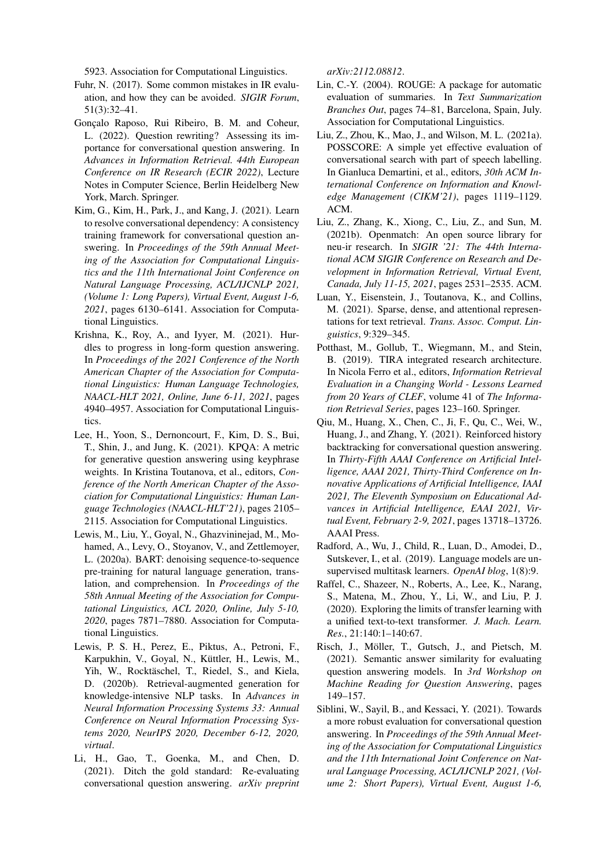5923. Association for Computational Linguistics.

- <span id="page-8-14"></span>Fuhr, N. (2017). Some common mistakes in IR evaluation, and how they can be avoided. *SIGIR Forum*, 51(3):32–41.
- <span id="page-8-7"></span>Gonçalo Raposo, Rui Ribeiro, B. M. and Coheur, L. (2022). Question rewriting? Assessing its importance for conversational question answering. In *Advances in Information Retrieval. 44th European Conference on IR Research (ECIR 2022)*, Lecture Notes in Computer Science, Berlin Heidelberg New York, March. Springer.
- <span id="page-8-1"></span>Kim, G., Kim, H., Park, J., and Kang, J. (2021). Learn to resolve conversational dependency: A consistency training framework for conversational question answering. In *Proceedings of the 59th Annual Meeting of the Association for Computational Linguistics and the 11th International Joint Conference on Natural Language Processing, ACL/IJCNLP 2021, (Volume 1: Long Papers), Virtual Event, August 1-6, 2021*, pages 6130–6141. Association for Computational Linguistics.
- <span id="page-8-2"></span>Krishna, K., Roy, A., and Iyyer, M. (2021). Hurdles to progress in long-form question answering. In *Proceedings of the 2021 Conference of the North American Chapter of the Association for Computational Linguistics: Human Language Technologies, NAACL-HLT 2021, Online, June 6-11, 2021*, pages 4940–4957. Association for Computational Linguistics.
- <span id="page-8-17"></span>Lee, H., Yoon, S., Dernoncourt, F., Kim, D. S., Bui, T., Shin, J., and Jung, K. (2021). KPQA: A metric for generative question answering using keyphrase weights. In Kristina Toutanova, et al., editors, *Conference of the North American Chapter of the Association for Computational Linguistics: Human Language Technologies (NAACL-HLT'21)*, pages 2105– 2115. Association for Computational Linguistics.
- <span id="page-8-11"></span>Lewis, M., Liu, Y., Goyal, N., Ghazvininejad, M., Mohamed, A., Levy, O., Stoyanov, V., and Zettlemoyer, L. (2020a). BART: denoising sequence-to-sequence pre-training for natural language generation, translation, and comprehension. In *Proceedings of the 58th Annual Meeting of the Association for Computational Linguistics, ACL 2020, Online, July 5-10, 2020*, pages 7871–7880. Association for Computational Linguistics.
- <span id="page-8-12"></span>Lewis, P. S. H., Perez, E., Piktus, A., Petroni, F., Karpukhin, V., Goyal, N., Küttler, H., Lewis, M., Yih, W., Rocktäschel, T., Riedel, S., and Kiela, D. (2020b). Retrieval-augmented generation for knowledge-intensive NLP tasks. In *Advances in Neural Information Processing Systems 33: Annual Conference on Neural Information Processing Systems 2020, NeurIPS 2020, December 6-12, 2020, virtual*.
- <span id="page-8-4"></span>Li, H., Gao, T., Goenka, M., and Chen, D. (2021). Ditch the gold standard: Re-evaluating conversational question answering. *arXiv preprint*

*arXiv:2112.08812*.

- <span id="page-8-13"></span>Lin, C.-Y. (2004). ROUGE: A package for automatic evaluation of summaries. In *Text Summarization Branches Out*, pages 74–81, Barcelona, Spain, July. Association for Computational Linguistics.
- <span id="page-8-15"></span>Liu, Z., Zhou, K., Mao, J., and Wilson, M. L. (2021a). POSSCORE: A simple yet effective evaluation of conversational search with part of speech labelling. In Gianluca Demartini, et al., editors, *30th ACM International Conference on Information and Knowledge Management (CIKM'21)*, pages 1119–1129. ACM.
- <span id="page-8-10"></span>Liu, Z., Zhang, K., Xiong, C., Liu, Z., and Sun, M. (2021b). Openmatch: An open source library for neu-ir research. In *SIGIR '21: The 44th International ACM SIGIR Conference on Research and Development in Information Retrieval, Virtual Event, Canada, July 11-15, 2021*, pages 2531–2535. ACM.
- <span id="page-8-5"></span>Luan, Y., Eisenstein, J., Toutanova, K., and Collins, M. (2021). Sparse, dense, and attentional representations for text retrieval. *Trans. Assoc. Comput. Linguistics*, 9:329–345.
- <span id="page-8-6"></span>Potthast, M., Gollub, T., Wiegmann, M., and Stein, B. (2019). TIRA integrated research architecture. In Nicola Ferro et al., editors, *Information Retrieval Evaluation in a Changing World - Lessons Learned from 20 Years of CLEF*, volume 41 of *The Information Retrieval Series*, pages 123–160. Springer.
- <span id="page-8-0"></span>Qiu, M., Huang, X., Chen, C., Ji, F., Qu, C., Wei, W., Huang, J., and Zhang, Y. (2021). Reinforced history backtracking for conversational question answering. In *Thirty-Fifth AAAI Conference on Artificial Intelligence, AAAI 2021, Thirty-Third Conference on Innovative Applications of Artificial Intelligence, IAAI 2021, The Eleventh Symposium on Educational Advances in Artificial Intelligence, EAAI 2021, Virtual Event, February 2-9, 2021*, pages 13718–13726. AAAI Press.
- <span id="page-8-9"></span>Radford, A., Wu, J., Child, R., Luan, D., Amodei, D., Sutskever, I., et al. (2019). Language models are unsupervised multitask learners. *OpenAI blog*, 1(8):9.
- <span id="page-8-8"></span>Raffel, C., Shazeer, N., Roberts, A., Lee, K., Narang, S., Matena, M., Zhou, Y., Li, W., and Liu, P. J. (2020). Exploring the limits of transfer learning with a unified text-to-text transformer. *J. Mach. Learn. Res.*, 21:140:1–140:67.
- <span id="page-8-16"></span>Risch, J., Möller, T., Gutsch, J., and Pietsch, M. (2021). Semantic answer similarity for evaluating question answering models. In *3rd Workshop on Machine Reading for Question Answering*, pages 149–157.
- <span id="page-8-3"></span>Siblini, W., Sayil, B., and Kessaci, Y. (2021). Towards a more robust evaluation for conversational question answering. In *Proceedings of the 59th Annual Meeting of the Association for Computational Linguistics and the 11th International Joint Conference on Natural Language Processing, ACL/IJCNLP 2021, (Volume 2: Short Papers), Virtual Event, August 1-6,*